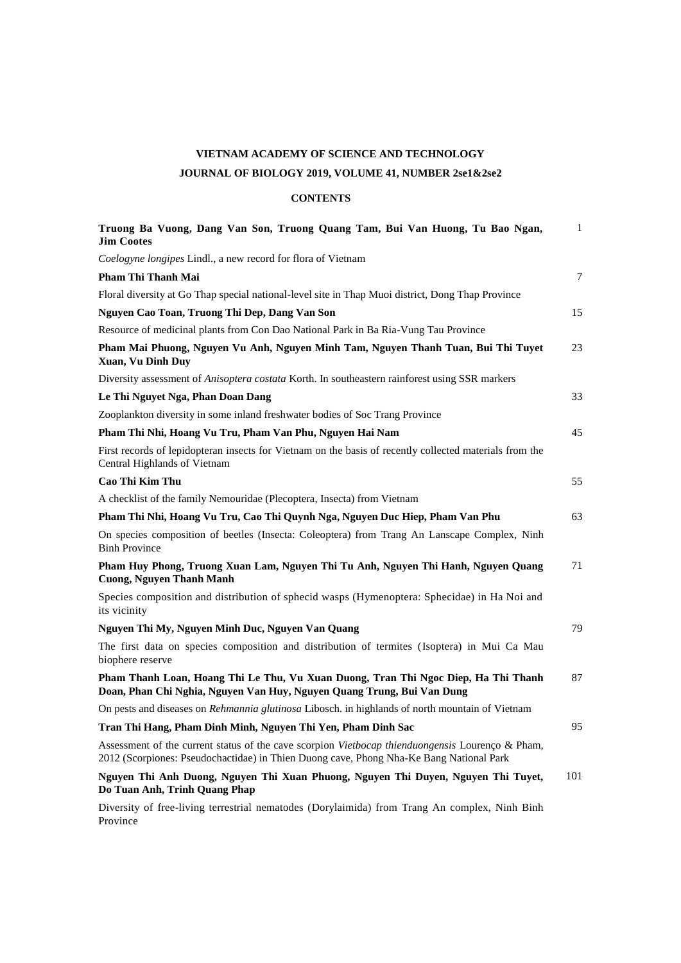## **VIETNAM ACADEMY OF SCIENCE AND TECHNOLOGY**

## **JOURNAL OF BIOLOGY 2019, VOLUME 41, NUMBER 2se1&2se2**

## **CONTENTS**

| Truong Ba Vuong, Dang Van Son, Truong Quang Tam, Bui Van Huong, Tu Bao Ngan,<br><b>Jim Cootes</b>                                                                                           | 1      |
|---------------------------------------------------------------------------------------------------------------------------------------------------------------------------------------------|--------|
| Coelogyne longipes Lindl., a new record for flora of Vietnam                                                                                                                                |        |
| Pham Thi Thanh Mai                                                                                                                                                                          | $\tau$ |
| Floral diversity at Go Thap special national-level site in Thap Muoi district, Dong Thap Province                                                                                           |        |
| Nguyen Cao Toan, Truong Thi Dep, Dang Van Son                                                                                                                                               | 15     |
| Resource of medicinal plants from Con Dao National Park in Ba Ria-Vung Tau Province                                                                                                         |        |
| Pham Mai Phuong, Nguyen Vu Anh, Nguyen Minh Tam, Nguyen Thanh Tuan, Bui Thi Tuyet<br>Xuan, Vu Dinh Duy                                                                                      | 23     |
| Diversity assessment of Anisoptera costata Korth. In southeastern rainforest using SSR markers                                                                                              |        |
| Le Thi Nguyet Nga, Phan Doan Dang                                                                                                                                                           | 33     |
| Zooplankton diversity in some inland freshwater bodies of Soc Trang Province                                                                                                                |        |
| Pham Thi Nhi, Hoang Vu Tru, Pham Van Phu, Nguyen Hai Nam                                                                                                                                    | 45     |
| First records of lepidopteran insects for Vietnam on the basis of recently collected materials from the<br>Central Highlands of Vietnam                                                     |        |
| Cao Thi Kim Thu                                                                                                                                                                             | 55     |
| A checklist of the family Nemouridae (Plecoptera, Insecta) from Vietnam                                                                                                                     |        |
| Pham Thi Nhi, Hoang Vu Tru, Cao Thi Quynh Nga, Nguyen Duc Hiep, Pham Van Phu                                                                                                                | 63     |
| On species composition of beetles (Insecta: Coleoptera) from Trang An Lanscape Complex, Ninh<br><b>Binh Province</b>                                                                        |        |
| Pham Huy Phong, Truong Xuan Lam, Nguyen Thi Tu Anh, Nguyen Thi Hanh, Nguyen Quang<br><b>Cuong, Nguyen Thanh Manh</b>                                                                        | 71     |
| Species composition and distribution of sphecid wasps (Hymenoptera: Sphecidae) in Ha Noi and<br>its vicinity                                                                                |        |
| Nguyen Thi My, Nguyen Minh Duc, Nguyen Van Quang                                                                                                                                            | 79     |
| The first data on species composition and distribution of termites (Isoptera) in Mui Ca Mau<br>biophere reserve                                                                             |        |
| Pham Thanh Loan, Hoang Thi Le Thu, Vu Xuan Duong, Tran Thi Ngoc Diep, Ha Thi Thanh<br>Doan, Phan Chi Nghia, Nguyen Van Huy, Nguyen Quang Trung, Bui Van Dung                                | 87     |
| On pests and diseases on Rehmannia glutinosa Libosch. in highlands of north mountain of Vietnam                                                                                             |        |
| Tran Thi Hang, Pham Dinh Minh, Nguyen Thi Yen, Pham Dinh Sac                                                                                                                                | 95     |
| Assessment of the current status of the cave scorpion Vietbocap thienduongensis Lourenço & Pham,<br>2012 (Scorpiones: Pseudochactidae) in Thien Duong cave, Phong Nha-Ke Bang National Park |        |
| Nguyen Thi Anh Duong, Nguyen Thi Xuan Phuong, Nguyen Thi Duyen, Nguyen Thi Tuyet,<br>Do Tuan Anh, Trinh Quang Phap                                                                          | 101    |
| the state of the state of the state of the                                                                                                                                                  |        |

Diversity of free-living terrestrial nematodes (Dorylaimida) from Trang An complex, Ninh Binh Province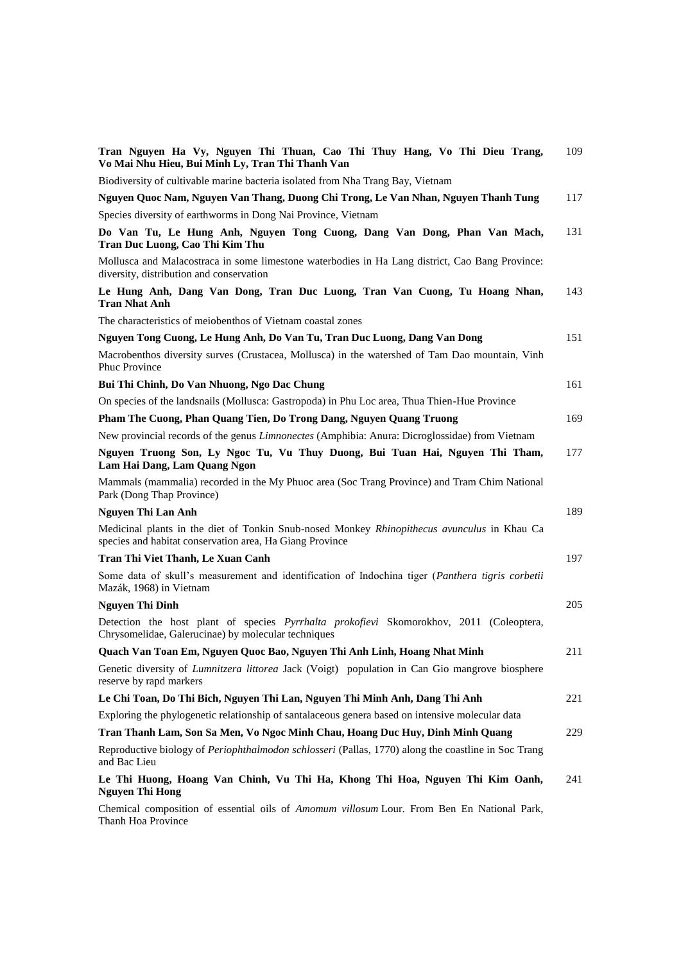| Tran Nguyen Ha Vy, Nguyen Thi Thuan, Cao Thi Thuy Hang, Vo Thi Dieu Trang,<br>Vo Mai Nhu Hieu, Bui Minh Ly, Tran Thi Thanh Van                          | 109 |
|---------------------------------------------------------------------------------------------------------------------------------------------------------|-----|
| Biodiversity of cultivable marine bacteria isolated from Nha Trang Bay, Vietnam                                                                         |     |
| Nguyen Quoc Nam, Nguyen Van Thang, Duong Chi Trong, Le Van Nhan, Nguyen Thanh Tung                                                                      | 117 |
| Species diversity of earthworms in Dong Nai Province, Vietnam                                                                                           |     |
| Do Van Tu, Le Hung Anh, Nguyen Tong Cuong, Dang Van Dong, Phan Van Mach,<br>Tran Duc Luong, Cao Thi Kim Thu                                             | 131 |
| Mollusca and Malacostraca in some limestone waterbodies in Ha Lang district, Cao Bang Province:<br>diversity, distribution and conservation             |     |
| Le Hung Anh, Dang Van Dong, Tran Duc Luong, Tran Van Cuong, Tu Hoang Nhan,<br><b>Tran Nhat Anh</b>                                                      | 143 |
| The characteristics of meiobenthos of Vietnam coastal zones                                                                                             |     |
| Nguyen Tong Cuong, Le Hung Anh, Do Van Tu, Tran Duc Luong, Dang Van Dong                                                                                | 151 |
| Macrobenthos diversity surves (Crustacea, Mollusca) in the watershed of Tam Dao mountain, Vinh<br>Phuc Province                                         |     |
| Bui Thi Chinh, Do Van Nhuong, Ngo Dac Chung                                                                                                             | 161 |
| On species of the landsnails (Mollusca: Gastropoda) in Phu Loc area, Thua Thien-Hue Province                                                            |     |
| Pham The Cuong, Phan Quang Tien, Do Trong Dang, Nguyen Quang Truong                                                                                     | 169 |
| New provincial records of the genus <i>Limnonectes</i> (Amphibia: Anura: Dicroglossidae) from Vietnam                                                   |     |
| Nguyen Truong Son, Ly Ngoc Tu, Vu Thuy Duong, Bui Tuan Hai, Nguyen Thi Tham,<br>Lam Hai Dang, Lam Quang Ngon                                            | 177 |
| Mammals (mammalia) recorded in the My Phuoc area (Soc Trang Province) and Tram Chim National<br>Park (Dong Thap Province)                               |     |
| <b>Nguyen Thi Lan Anh</b>                                                                                                                               | 189 |
| Medicinal plants in the diet of Tonkin Snub-nosed Monkey Rhinopithecus avunculus in Khau Ca<br>species and habitat conservation area, Ha Giang Province |     |
| Tran Thi Viet Thanh, Le Xuan Canh                                                                                                                       | 197 |
| Some data of skull's measurement and identification of Indochina tiger (Panthera tigris corbetii<br>Mazák, 1968) in Vietnam                             |     |
| <b>Nguyen Thi Dinh</b>                                                                                                                                  | 205 |
| Detection the host plant of species <i>Pyrrhalta prokofievi</i> Skomorokhov, 2011 (Coleoptera,<br>Chrysomelidae, Galerucinae) by molecular techniques   |     |
| Quach Van Toan Em, Nguyen Quoc Bao, Nguyen Thi Anh Linh, Hoang Nhat Minh                                                                                | 211 |
| Genetic diversity of <i>Lunnitzera littorea</i> Jack (Voigt) population in Can Gio mangrove biosphere<br>reserve by rapd markers                        |     |
| Le Chi Toan, Do Thi Bich, Nguyen Thi Lan, Nguyen Thi Minh Anh, Dang Thi Anh                                                                             | 221 |
| Exploring the phylogenetic relationship of santalaceous genera based on intensive molecular data                                                        |     |
| Tran Thanh Lam, Son Sa Men, Vo Ngoc Minh Chau, Hoang Duc Huy, Dinh Minh Quang                                                                           | 229 |
| Reproductive biology of <i>Periophthalmodon schlosseri</i> (Pallas, 1770) along the coastline in Soc Trang<br>and Bac Lieu                              |     |
| Le Thi Huong, Hoang Van Chinh, Vu Thi Ha, Khong Thi Hoa, Nguyen Thi Kim Oanh,<br><b>Nguyen Thi Hong</b>                                                 | 241 |
| Chemical composition of essential oils of Amomum villosum Lour. From Ben En National Park,<br>Thanh Hoa Province                                        |     |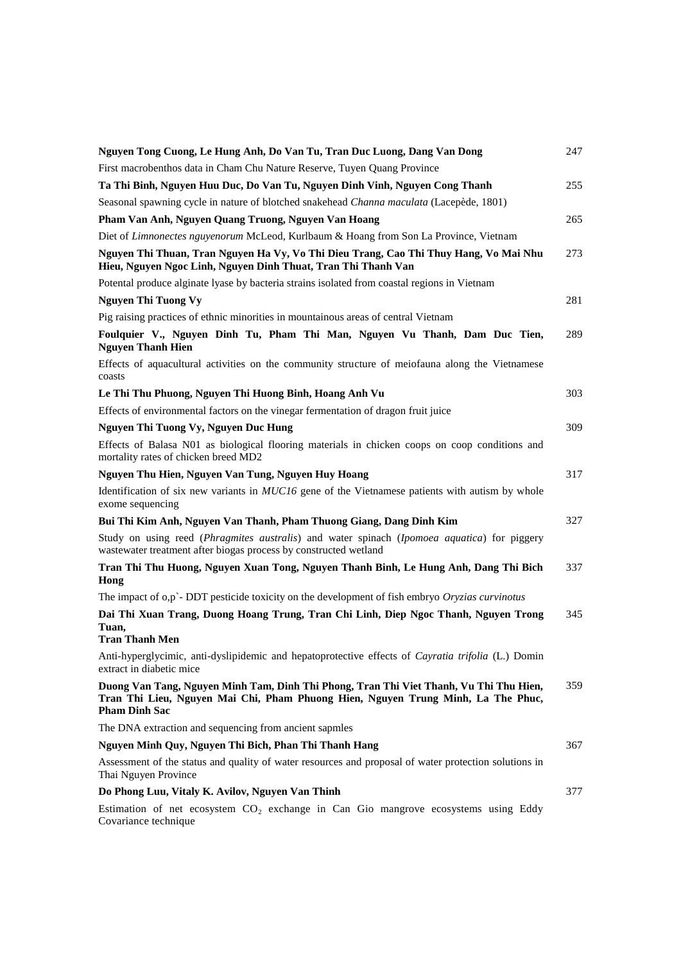| Nguyen Tong Cuong, Le Hung Anh, Do Van Tu, Tran Duc Luong, Dang Van Dong                                                                                                                           | 247 |
|----------------------------------------------------------------------------------------------------------------------------------------------------------------------------------------------------|-----|
| First macrobenthos data in Cham Chu Nature Reserve, Tuyen Quang Province                                                                                                                           |     |
| Ta Thi Binh, Nguyen Huu Duc, Do Van Tu, Nguyen Dinh Vinh, Nguyen Cong Thanh                                                                                                                        | 255 |
| Seasonal spawning cycle in nature of blotched snakehead Channa maculata (Lacepède, 1801)                                                                                                           |     |
| Pham Van Anh, Nguyen Quang Truong, Nguyen Van Hoang                                                                                                                                                | 265 |
| Diet of Limnonectes nguyenorum McLeod, Kurlbaum & Hoang from Son La Province, Vietnam                                                                                                              |     |
| Nguyen Thi Thuan, Tran Nguyen Ha Vy, Vo Thi Dieu Trang, Cao Thi Thuy Hang, Vo Mai Nhu<br>Hieu, Nguyen Ngoc Linh, Nguyen Dinh Thuat, Tran Thi Thanh Van                                             | 273 |
| Potental produce alginate lyase by bacteria strains isolated from coastal regions in Vietnam                                                                                                       |     |
| Nguyen Thi Tuong Vy                                                                                                                                                                                | 281 |
| Pig raising practices of ethnic minorities in mountainous areas of central Vietnam                                                                                                                 |     |
| Foulquier V., Nguyen Dinh Tu, Pham Thi Man, Nguyen Vu Thanh, Dam Duc Tien,<br><b>Nguyen Thanh Hien</b>                                                                                             | 289 |
| Effects of aquacultural activities on the community structure of meiofauna along the Vietnamese<br>coasts                                                                                          |     |
| Le Thi Thu Phuong, Nguyen Thi Huong Binh, Hoang Anh Vu                                                                                                                                             | 303 |
| Effects of environmental factors on the vinegar fermentation of dragon fruit juice                                                                                                                 |     |
| Nguyen Thi Tuong Vy, Nguyen Duc Hung                                                                                                                                                               | 309 |
| Effects of Balasa N01 as biological flooring materials in chicken coops on coop conditions and<br>mortality rates of chicken breed MD2                                                             |     |
| Nguyen Thu Hien, Nguyen Van Tung, Nguyen Huy Hoang                                                                                                                                                 | 317 |
| Identification of six new variants in MUC16 gene of the Vietnamese patients with autism by whole<br>exome sequencing                                                                               |     |
| Bui Thi Kim Anh, Nguyen Van Thanh, Pham Thuong Giang, Dang Dinh Kim                                                                                                                                | 327 |
| Study on using reed (Phragmites australis) and water spinach (Ipomoea aquatica) for piggery<br>wastewater treatment after biogas process by constructed wetland                                    |     |
| Tran Thi Thu Huong, Nguyen Xuan Tong, Nguyen Thanh Binh, Le Hung Anh, Dang Thi Bich<br>Hong                                                                                                        | 337 |
| The impact of $o, p$ - DDT pesticide toxicity on the development of fish embryo Oryzias curvinotus                                                                                                 |     |
| Dai Thi Xuan Trang, Duong Hoang Trung, Tran Chi Linh, Diep Ngoc Thanh, Nguyen Trong<br>Tuan,<br><b>Tran Thanh Men</b>                                                                              | 345 |
| Anti-hyperglycimic, anti-dyslipidemic and hepatoprotective effects of Cayratia trifolia (L.) Domin<br>extract in diabetic mice                                                                     |     |
| Duong Van Tang, Nguyen Minh Tam, Dinh Thi Phong, Tran Thi Viet Thanh, Vu Thi Thu Hien,<br>Tran Thi Lieu, Nguyen Mai Chi, Pham Phuong Hien, Nguyen Trung Minh, La The Phuc,<br><b>Pham Dinh Sac</b> | 359 |
| The DNA extraction and sequencing from ancient sapmles                                                                                                                                             |     |
| Nguyen Minh Quy, Nguyen Thi Bich, Phan Thi Thanh Hang                                                                                                                                              | 367 |
| Assessment of the status and quality of water resources and proposal of water protection solutions in<br>Thai Nguyen Province                                                                      |     |
| Do Phong Luu, Vitaly K. Avilov, Nguyen Van Thinh                                                                                                                                                   | 377 |
| Estimation of net ecosystem $CO2$ exchange in Can Gio mangrove ecosystems using Eddy<br>Covariance technique                                                                                       |     |

Covariance technique